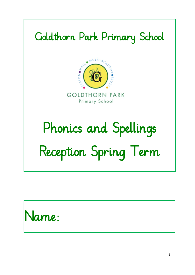# Goldthorn Park Primary School



**GOLDTHORN PARK** Primary School

# Phonics and Spellings Reception Spring Term

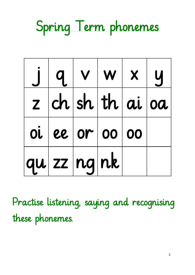Spring Term phonemes

|             | $q \mid v \mid w \mid x \mid y$ |  |  |
|-------------|---------------------------------|--|--|
|             | z ch sh th ai oa                |  |  |
|             | $oi ee $ or $ oo $ 00           |  |  |
| qu zz nq nk |                                 |  |  |

Practise listening, saying and recognising these phonemes.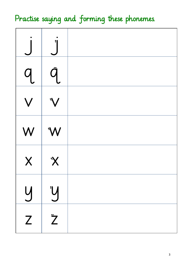## Practise saying and forming these phonemes.

| $\overline{\mathsf{q}}$ |                |  |
|-------------------------|----------------|--|
|                         |                |  |
| W                       | W <sup>*</sup> |  |
| $\overline{\mathsf{X}}$ | <b>X</b>       |  |
| $\overline{y}$          | Y              |  |
| Z                       | $\ddot{z}$     |  |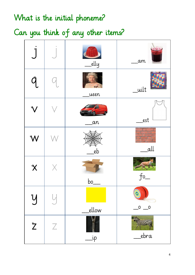#### What is the initial phoneme?

Can you think of any other items?

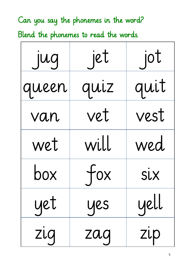Can you say the phonemes in the word? Blend the phonemes to read the words.

| jug   | jet  | jot  |
|-------|------|------|
| queen | quiz | quit |
| van   | vet  | vest |
| wet   | will | wed  |
| box   | tox  | SİX  |
| yet   | yes  | yell |
| zıg   | zaq  | zup  |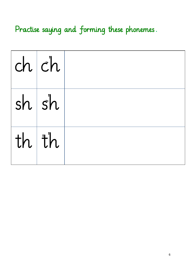Practise saying and forming these phonemes.

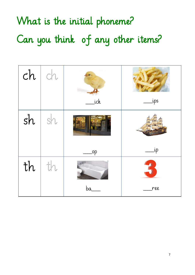# What is the initial phoneme? Can you think of any other items?

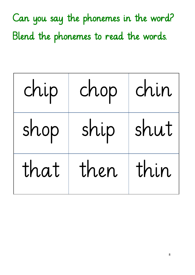Can you say the phonemes in the word? Blend the phonemes to read the words.

| chip | chop | chin |
|------|------|------|
| shop | ship | shut |
| that | then | thin |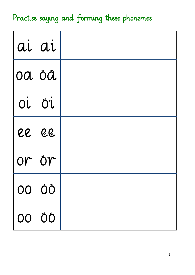## Practise saying and forming these phonemes

| ai ai |                           |  |
|-------|---------------------------|--|
|       | $ 0a $ $\ddot{o}\ddot{a}$ |  |
|       | OL ÖL                     |  |
|       | <b>EE EE</b>              |  |
|       | $or\dot{\circ}r$          |  |
|       | 00 ÖÖ                     |  |
|       | 00 ÖÖ                     |  |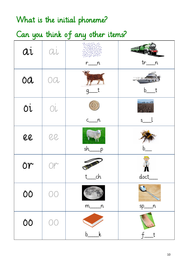#### What is the initial phoneme?

Can you think of any other items?

| äi | $\langle \mathcal{L} \rangle_{\mathcal{L}}$     |                                 | <b>URL DEL</b>             |
|----|-------------------------------------------------|---------------------------------|----------------------------|
|    |                                                 | $r_{\underline{\hspace{1cm}}n}$ | $tr_{-}$<br>n              |
| ÖÄ | OQ                                              | g                               | b                          |
| Öİ | $\bigcirc \hspace{-0.5mm} \cdot \hspace{0.5mm}$ | $\sqrt{n}$<br>C                 | THE FE YES<br>$\mathsf{S}$ |
|    |                                                 |                                 |                            |
| QQ | QQ                                              | sh<br>p                         |                            |
| ÖT | $\mathbb{O}\mathbb{P}^1$                        | ch                              | doct_                      |
| ÔÔ | $\circledcirc$                                  | $m_{\_\_\_n}$                   | $\sqrt{2}$<br>$sp_{max}$   |
| ÖÖ | $\circledcirc$                                  | $\mathbf{k}$<br>b               | $-t$<br>$+$                |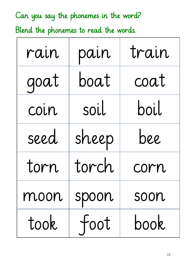Can you say the phonemes in the word? Blend the phonemes to read the words.

| rain | pain  | train |
|------|-------|-------|
| goat | boat  | coat  |
| coin | soil  | boil  |
| seed | sheep | bee   |
| torn | torch | corn  |
| moon | spoon | soon  |
| took | toot  | book  |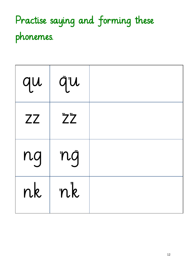# Practise saying and forming these phonemes.

| qu        | qu                  |  |
|-----------|---------------------|--|
| <b>ZZ</b> | $\ddot{Z} \ddot{Z}$ |  |
| ng        | nġ                  |  |
| nk        | nk                  |  |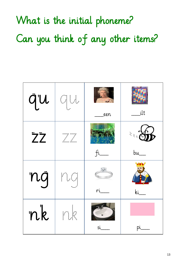What is the initial phoneme? Can you think of any other items?

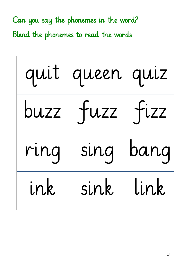Can you say the phonemes in the word? Blend the phonemes to read the words.

| quit | queen quiz |      |
|------|------------|------|
| buzz | TUZZ       | fixz |
| ring | sing       | bang |
| ink  | sink       | link |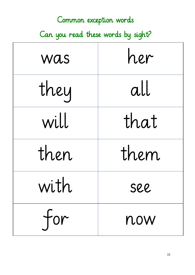| Common exception words             |      |  |  |
|------------------------------------|------|--|--|
| Can you read these words by sight? |      |  |  |
| was                                | her  |  |  |
| they                               | all  |  |  |
| will                               | that |  |  |
| then                               | them |  |  |
| with                               | see  |  |  |
| for                                | now  |  |  |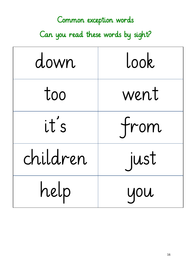#### Common exception words

Can you read these words by sight?

| down     | Look |
|----------|------|
| too      | went |
| it's     | from |
| children | just |
| help     | you  |